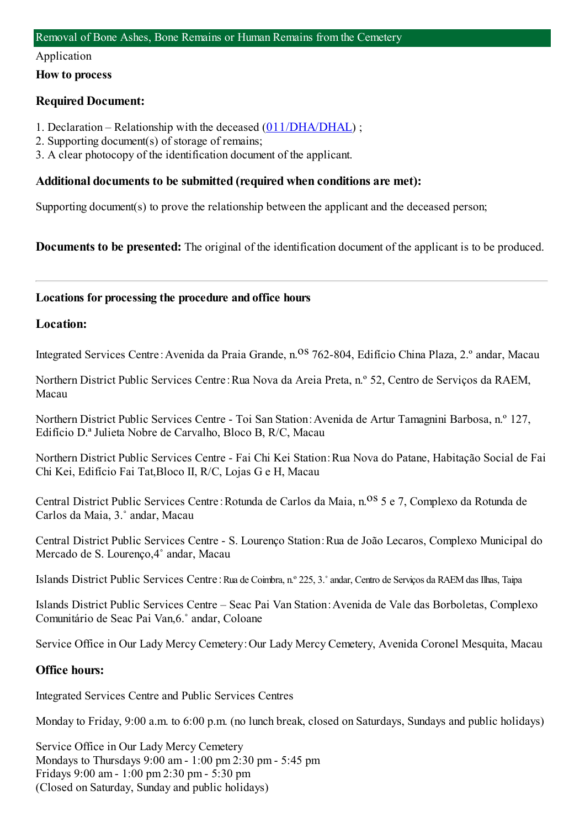#### Application

**How to process**

## **Required Document:**

- 1. Declaration Relationship with the deceased ([011/DHA/DHAL](https://www.iam.gov.mo/c/pdf/eformDetail/PDF357)) ;
- 2. Supporting document(s) of storage of remains;
- 3. A clear photocopy of the identification document of the applicant.

## **Additional documents to be submitted (required when conditions are met):**

Supporting document(s) to prove the relationship between the applicant and the deceased person;

**Documents to be presented:** The original of the identification document of the applicant is to be produced.

## **Locations for processing the procedure and office hours**

### **Location:**

Integrated Services Centre: Avenida da Praia Grande, n.<sup>08</sup> 762-804, Edifício China Plaza, 2.º andar, Macau

Northern District Public Services Centre:Rua Nova da Areia Preta, n.º 52, Centro de Serviços da RAEM, Macau

Northern District Public Services Centre - Toi San Station:Avenida de Artur Tamagnini Barbosa, n.º 127, Edifício D.ª Julieta Nobre de Carvalho, Bloco B, R/C, Macau

Northern District Public Services Centre - Fai Chi Kei Station:Rua Nova do Patane, Habitação Social de Fai Chi Kei, Edifício Fai Tat,Bloco II, R/C, Lojas G e H, Macau

Central District Public Services Centre: Rotunda de Carlos da Maia, n.<sup>08</sup> 5 e 7, Complexo da Rotunda de Carlos da Maia, 3.˚ andar, Macau

Central District Public Services Centre - S. Lourenço Station:Rua de João Lecaros, Complexo Municipal do Mercado de S. Lourenço,4˚ andar, Macau

Islands District Public Services Centre:Rua de Coimbra, n.º 225, 3.˚andar, Centro de Serviços da RAEMdas Ilhas, Taipa

Islands District Public Services Centre – Seac Pai Van Station:Avenida de Vale das Borboletas, Complexo Comunitário de Seac Pai Van,6.˚ andar, Coloane

Service Office in Our Lady Mercy Cemetery:Our Lady Mercy Cemetery, Avenida Coronel Mesquita, Macau

## **Office hours:**

Integrated Services Centre and Public Services Centres

Monday to Friday, 9:00 a.m. to 6:00 p.m. (no lunch break, closed on Saturdays, Sundays and public holidays)

Service Office in Our Lady Mercy Cemetery Mondays to Thursdays 9:00 am- 1:00 pm2:30 pm- 5:45 pm Fridays 9:00 am- 1:00 pm2:30 pm- 5:30 pm (Closed on Saturday, Sunday and public holidays)